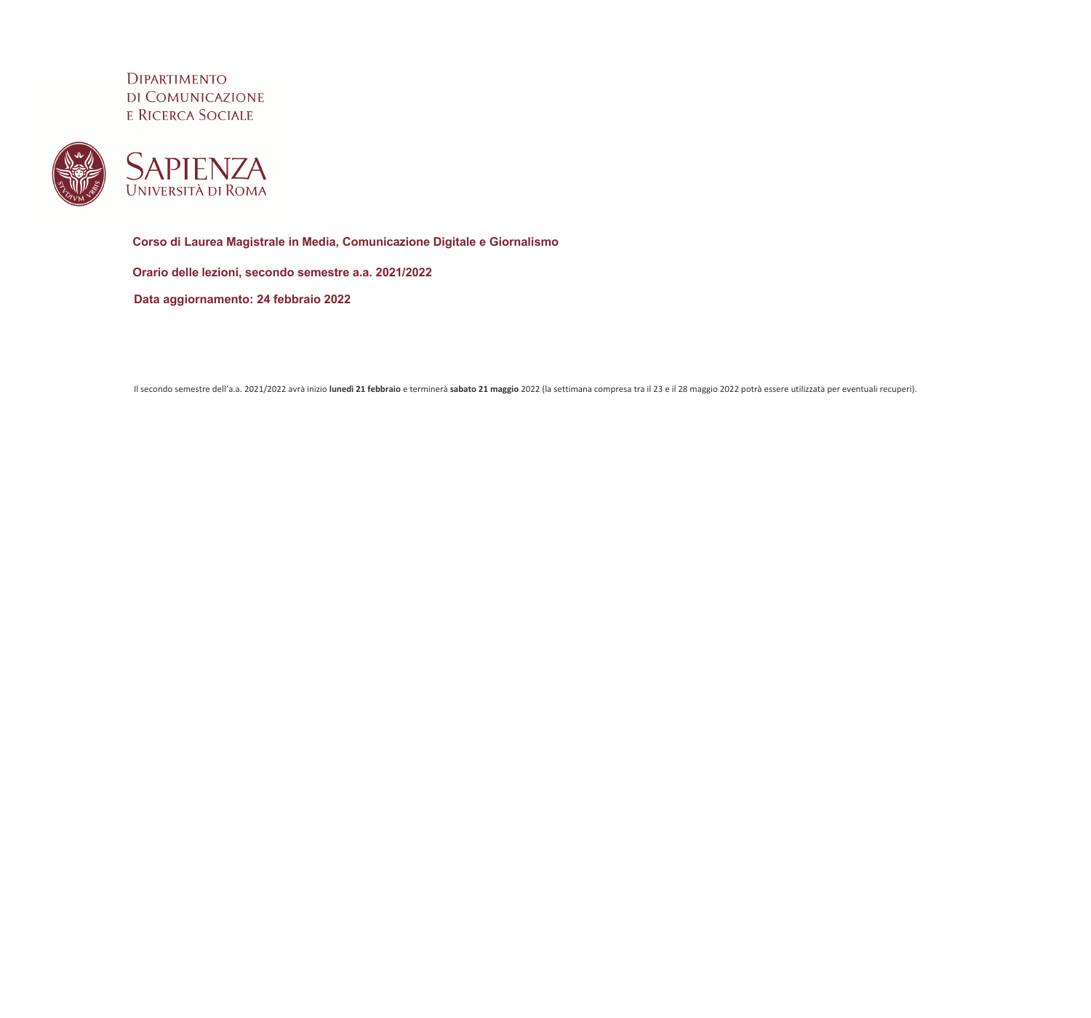DIPARTIMENTO DI COMUNICAZIONE E RICERCA SOCIALE



**Corso di Laurea Magistrale in Media, Comunicazione Digitale e Giornalismo Orario delle lezioni, secondo semestre a.a. 2021/2022 Data aggiornamento: 24 febbraio 2022**

Il secondo semestre dell'a.a. 2021/2022 avrà inizio **lunedì 21 febbraio** e terminerà **sabato 21 maggio** 2022 (la settimana compresa tra il 23 e il 28 maggio 2022 potrà essere utilizzata per eventuali recuperi).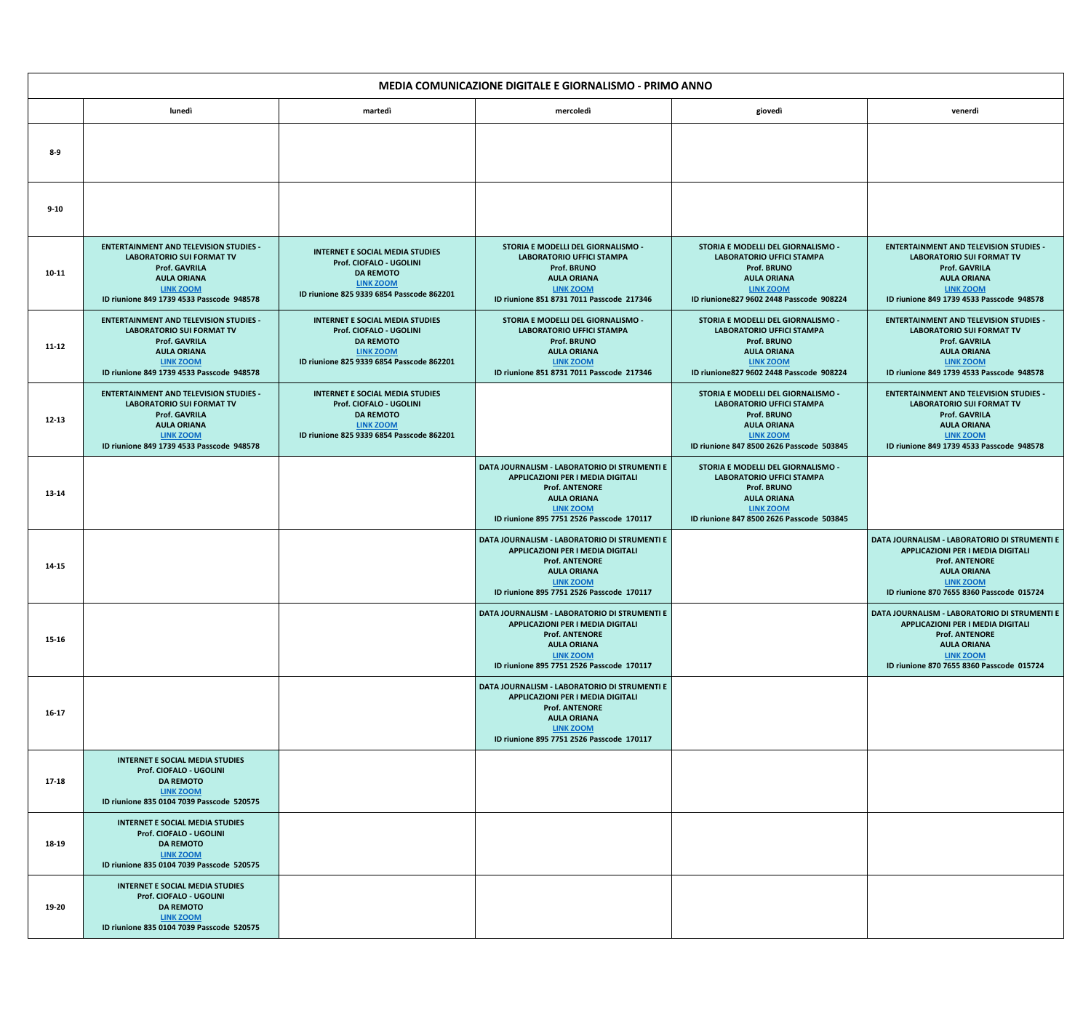|                     | <b>MEDIA COMUNICAZIONE DIGITALE E GIORNALISMO - PRIMO ANNO</b>                                                                                                                                   |                                                                                                                                                        |                                                                                                                                                                                                          |                                                                                                                                                                                            |                                                                                                                                                                                                          |
|---------------------|--------------------------------------------------------------------------------------------------------------------------------------------------------------------------------------------------|--------------------------------------------------------------------------------------------------------------------------------------------------------|----------------------------------------------------------------------------------------------------------------------------------------------------------------------------------------------------------|--------------------------------------------------------------------------------------------------------------------------------------------------------------------------------------------|----------------------------------------------------------------------------------------------------------------------------------------------------------------------------------------------------------|
|                     | lunedì                                                                                                                                                                                           | martedì                                                                                                                                                | mercoledì                                                                                                                                                                                                | giovedì                                                                                                                                                                                    | venerdì                                                                                                                                                                                                  |
| $8 - 9$<br>$9 - 10$ |                                                                                                                                                                                                  |                                                                                                                                                        |                                                                                                                                                                                                          |                                                                                                                                                                                            |                                                                                                                                                                                                          |
| $10 - 11$           | <b>ENTERTAINMENT AND TELEVISION STUDIES -</b><br><b>LABORATORIO SUI FORMAT TV</b><br><b>Prof. GAVRILA</b><br><b>AULA ORIANA</b><br><b>LINK ZOOM</b><br>ID riunione 849 1739 4533 Passcode 948578 | <b>INTERNET E SOCIAL MEDIA STUDIES</b><br>Prof. CIOFALO - UGOLINI<br><b>DA REMOTO</b><br><b>LINK ZOOM</b><br>ID riunione 825 9339 6854 Passcode 862201 | STORIA E MODELLI DEL GIORNALISMO -<br><b>LABORATORIO UFFICI STAMPA</b><br><b>Prof. BRUNO</b><br><b>AULA ORIANA</b><br><b>LINK ZOOM</b><br>ID riunione 851 8731 7011 Passcode 217346                      | STORIA E MODELLI DEL GIORNALISMO -<br><b>LABORATORIO UFFICI STAMPA</b><br><b>Prof. BRUNO</b><br><b>AULA ORIANA</b><br><b>LINK ZOOM</b><br>ID riunione827 9602 2448 Passcode 908224         | <b>ENTERTAINMENT AND TELEVISION STUDIES -</b><br><b>LABORATORIO SUI FORMAT TV</b><br><b>Prof. GAVRILA</b><br><b>AULA ORIANA</b><br><b>LINK ZOOM</b><br>ID riunione 849 1739 4533 Passcode 948578         |
| $11 - 12$           | <b>ENTERTAINMENT AND TELEVISION STUDIES -</b><br><b>LABORATORIO SUI FORMAT TV</b><br><b>Prof. GAVRILA</b><br><b>AULA ORIANA</b><br><b>LINK ZOOM</b><br>ID riunione 849 1739 4533 Passcode 948578 | <b>INTERNET E SOCIAL MEDIA STUDIES</b><br>Prof. CIOFALO - UGOLINI<br><b>DA REMOTO</b><br><b>LINK ZOOM</b><br>ID riunione 825 9339 6854 Passcode 862201 | STORIA E MODELLI DEL GIORNALISMO -<br><b>LABORATORIO UFFICI STAMPA</b><br><b>Prof. BRUNO</b><br><b>AULA ORIANA</b><br><b>LINK ZOOM</b><br>ID riunione 851 8731 7011 Passcode 217346                      | STORIA E MODELLI DEL GIORNALISMO -<br><b>LABORATORIO UFFICI STAMPA</b><br><b>Prof. BRUNO</b><br><b>AULA ORIANA</b><br><b>LINK ZOOM</b><br>ID riunione827 9602 2448 Passcode 908224         | <b>ENTERTAINMENT AND TELEVISION STUDIES -</b><br><b>LABORATORIO SUI FORMAT TV</b><br><b>Prof. GAVRILA</b><br><b>AULA ORIANA</b><br><b>LINK ZOOM</b><br>ID riunione 849 1739 4533 Passcode 948578         |
| $12 - 13$           | <b>ENTERTAINMENT AND TELEVISION STUDIES -</b><br><b>LABORATORIO SUI FORMAT TV</b><br><b>Prof. GAVRILA</b><br><b>AULA ORIANA</b><br><b>LINK ZOOM</b><br>ID riunione 849 1739 4533 Passcode 948578 | <b>INTERNET E SOCIAL MEDIA STUDIES</b><br>Prof. CIOFALO - UGOLINI<br><b>DA REMOTO</b><br><b>LINK ZOOM</b><br>ID riunione 825 9339 6854 Passcode 862201 |                                                                                                                                                                                                          | <b>STORIA E MODELLI DEL GIORNALISMO -</b><br><b>LABORATORIO UFFICI STAMPA</b><br><b>Prof. BRUNO</b><br><b>AULA ORIANA</b><br><b>LINK ZOOM</b><br>ID riunione 847 8500 2626 Passcode 503845 | <b>ENTERTAINMENT AND TELEVISION STUDIES -</b><br><b>LABORATORIO SUI FORMAT TV</b><br><b>Prof. GAVRILA</b><br><b>AULA ORIANA</b><br><b>LINK ZOOM</b><br>ID riunione 849 1739 4533 Passcode 948578         |
| 13-14               |                                                                                                                                                                                                  |                                                                                                                                                        | DATA JOURNALISM - LABORATORIO DI STRUMENTI E<br><b>APPLICAZIONI PER I MEDIA DIGITALI</b><br><b>Prof. ANTENORE</b><br><b>AULA ORIANA</b><br><b>LINK ZOOM</b><br>ID riunione 895 7751 2526 Passcode 170117 | <b>STORIA E MODELLI DEL GIORNALISMO -</b><br><b>LABORATORIO UFFICI STAMPA</b><br><b>Prof. BRUNO</b><br><b>AULA ORIANA</b><br><b>LINK ZOOM</b><br>ID riunione 847 8500 2626 Passcode 503845 |                                                                                                                                                                                                          |
| 14-15               |                                                                                                                                                                                                  |                                                                                                                                                        | DATA JOURNALISM - LABORATORIO DI STRUMENTI E<br><b>APPLICAZIONI PER I MEDIA DIGITALI</b><br><b>Prof. ANTENORE</b><br><b>AULA ORIANA</b><br><b>LINK ZOOM</b><br>ID riunione 895 7751 2526 Passcode 170117 |                                                                                                                                                                                            | DATA JOURNALISM - LABORATORIO DI STRUMENTI E<br><b>APPLICAZIONI PER I MEDIA DIGITALI</b><br><b>Prof. ANTENORE</b><br><b>AULA ORIANA</b><br><b>LINK ZOOM</b><br>ID riunione 870 7655 8360 Passcode 015724 |
| 15-16               |                                                                                                                                                                                                  |                                                                                                                                                        | DATA JOURNALISM - LABORATORIO DI STRUMENTI E<br><b>APPLICAZIONI PER I MEDIA DIGITALI</b><br><b>Prof. ANTENORE</b><br><b>AULA ORIANA</b><br><b>LINK ZOOM</b><br>ID riunione 895 7751 2526 Passcode 170117 |                                                                                                                                                                                            | DATA JOURNALISM - LABORATORIO DI STRUMENTI E<br><b>APPLICAZIONI PER I MEDIA DIGITALI</b><br><b>Prof. ANTENORE</b><br><b>AULA ORIANA</b><br><b>LINK ZOOM</b><br>ID riunione 870 7655 8360 Passcode 015724 |
| 16-17               |                                                                                                                                                                                                  |                                                                                                                                                        | DATA JOURNALISM - LABORATORIO DI STRUMENTI E<br><b>APPLICAZIONI PER I MEDIA DIGITALI</b><br><b>Prof. ANTENORE</b><br><b>AULA ORIANA</b><br><b>LINK ZOOM</b><br>ID riunione 895 7751 2526 Passcode 170117 |                                                                                                                                                                                            |                                                                                                                                                                                                          |
| $17-18$             | <b>INTERNET E SOCIAL MEDIA STUDIES</b><br>Prof. CIOFALO - UGOLINI<br><b>DA REMOTO</b><br><b>LINK ZOOM</b><br>ID riunione 835 0104 7039 Passcode 520575                                           |                                                                                                                                                        |                                                                                                                                                                                                          |                                                                                                                                                                                            |                                                                                                                                                                                                          |
| 18-19               | <b>INTERNET E SOCIAL MEDIA STUDIES</b><br><b>Prof. CIOFALO - UGOLINI</b><br><b>DA REMOTO</b><br><b>LINK ZOOM</b><br>ID riunione 835 0104 7039 Passcode 520575                                    |                                                                                                                                                        |                                                                                                                                                                                                          |                                                                                                                                                                                            |                                                                                                                                                                                                          |
| 19-20               | <b>INTERNET E SOCIAL MEDIA STUDIES</b><br>Prof. CIOFALO - UGOLINI<br><b>DA REMOTO</b><br><b>LINK ZOOM</b><br>ID riunione 835 0104 7039 Passcode 520575                                           |                                                                                                                                                        |                                                                                                                                                                                                          |                                                                                                                                                                                            |                                                                                                                                                                                                          |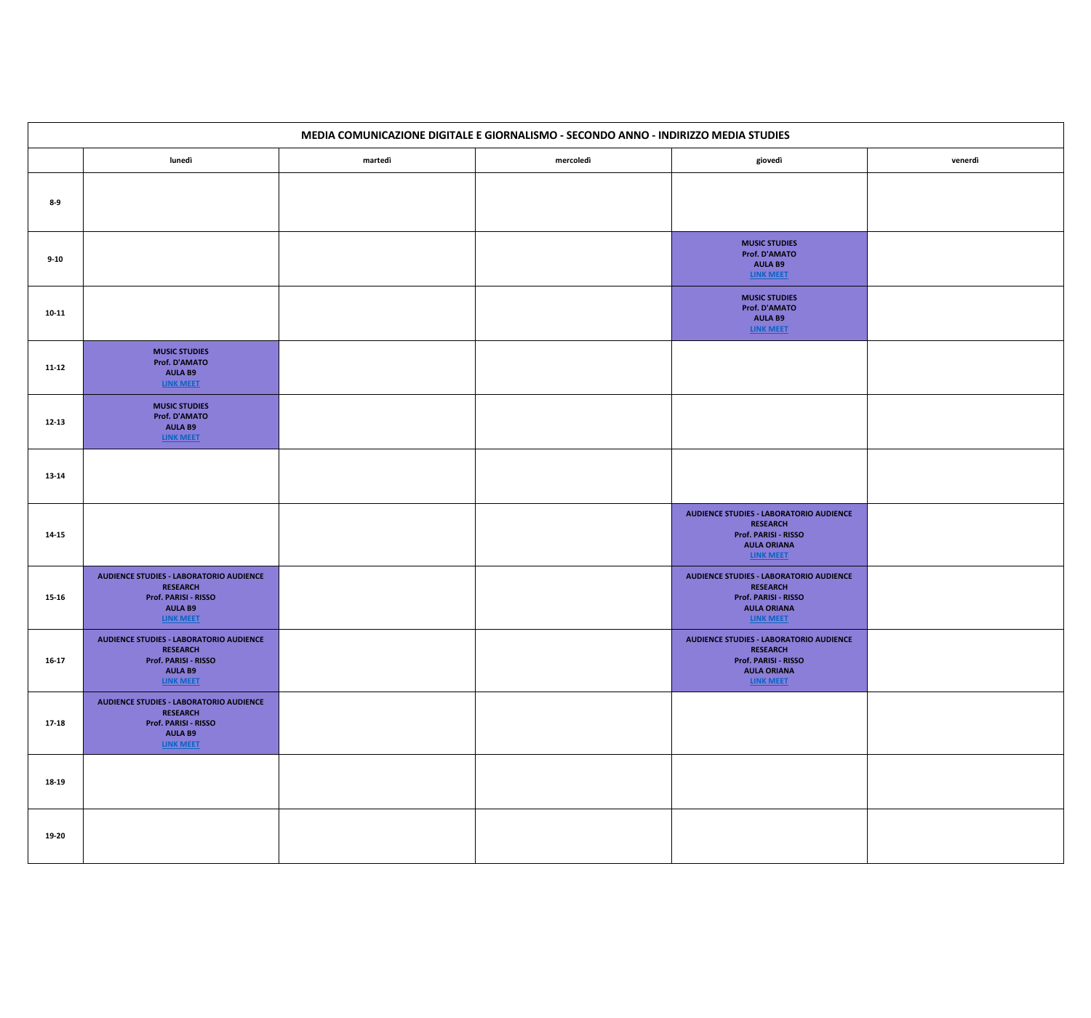|           |                                                                                                                                        |         | MEDIA COMUNICAZIONE DIGITALE E GIORNALISMO - SECONDO ANNO - INDIRIZZO MEDIA STUDIES |                                                                                                                                            |         |
|-----------|----------------------------------------------------------------------------------------------------------------------------------------|---------|-------------------------------------------------------------------------------------|--------------------------------------------------------------------------------------------------------------------------------------------|---------|
|           | lunedì                                                                                                                                 | martedì | mercoledì                                                                           | giovedì                                                                                                                                    | venerdi |
| $8-9$     |                                                                                                                                        |         |                                                                                     |                                                                                                                                            |         |
| $9 - 10$  |                                                                                                                                        |         |                                                                                     | <b>MUSIC STUDIES</b><br><b>Prof. D'AMATO</b><br><b>AULA B9</b><br><b>LINK MEET</b>                                                         |         |
| $10 - 11$ |                                                                                                                                        |         |                                                                                     | <b>MUSIC STUDIES</b><br><b>Prof. D'AMATO</b><br><b>AULA B9</b><br><b>LINK MEET</b>                                                         |         |
| $11 - 12$ | <b>MUSIC STUDIES</b><br><b>Prof. D'AMATO</b><br><b>AULA B9</b><br><b>LINK MEET</b>                                                     |         |                                                                                     |                                                                                                                                            |         |
| $12 - 13$ | <b>MUSIC STUDIES</b><br><b>Prof. D'AMATO</b><br><b>AULA B9</b><br>LINK MEET                                                            |         |                                                                                     |                                                                                                                                            |         |
| $13 - 14$ |                                                                                                                                        |         |                                                                                     |                                                                                                                                            |         |
| $14 - 15$ |                                                                                                                                        |         |                                                                                     | <b>AUDIENCE STUDIES - LABORATORIO AUDIENCE</b><br><b>RESEARCH</b><br><b>Prof. PARISI - RISSO</b><br><b>AULA ORIANA</b><br>LINK MEET        |         |
| $15 - 16$ | <b>AUDIENCE STUDIES - LABORATORIO AUDIENCE</b><br><b>RESEARCH</b><br><b>Prof. PARISI - RISSO</b><br><b>AULA B9</b><br>LINK MEET        |         |                                                                                     | <b>AUDIENCE STUDIES - LABORATORIO AUDIENCE</b><br><b>RESEARCH</b><br><b>Prof. PARISI - RISSO</b><br><b>AULA ORIANA</b><br><b>LINK MEET</b> |         |
| $16-17$   | <b>AUDIENCE STUDIES - LABORATORIO AUDIENCE</b><br><b>RESEARCH</b><br><b>Prof. PARISI - RISSO</b><br><b>AULA B9</b><br><b>LINK MEET</b> |         |                                                                                     | <b>AUDIENCE STUDIES - LABORATORIO AUDIENCE</b><br><b>RESEARCH</b><br><b>Prof. PARISI - RISSO</b><br><b>AULA ORIANA</b><br>LINK MEET        |         |
| $17 - 18$ | <b>AUDIENCE STUDIES - LABORATORIO AUDIENCE</b><br><b>RESEARCH</b><br><b>Prof. PARISI - RISSO</b><br><b>AULA B9</b><br><b>LINK MEET</b> |         |                                                                                     |                                                                                                                                            |         |
| 18-19     |                                                                                                                                        |         |                                                                                     |                                                                                                                                            |         |
| 19-20     |                                                                                                                                        |         |                                                                                     |                                                                                                                                            |         |

| <b>IZZO MEDIA STUDIES</b>                                                                                                           |         |  |
|-------------------------------------------------------------------------------------------------------------------------------------|---------|--|
| giovedì                                                                                                                             | venerdì |  |
|                                                                                                                                     |         |  |
| <b>MUSIC STUDIES</b><br><b>Prof. D'AMATO</b><br><b>AULA B9</b><br><b>LINK MEET</b>                                                  |         |  |
| <b>MUSIC STUDIES</b><br><b>Prof. D'AMATO</b><br><b>AULA B9</b><br><b>LINK MEET</b>                                                  |         |  |
|                                                                                                                                     |         |  |
|                                                                                                                                     |         |  |
|                                                                                                                                     |         |  |
| <b>AUDIENCE STUDIES - LABORATORIO AUDIENCE</b><br><b>RESEARCH</b><br>Prof. PARISI - RISSO<br><b>AULA ORIANA</b><br><b>LINK MEET</b> |         |  |
| <b>AUDIENCE STUDIES - LABORATORIO AUDIENCE</b><br><b>RESEARCH</b><br>Prof. PARISI - RISSO<br><b>AULA ORIANA</b><br><b>LINK MEET</b> |         |  |
| <b>AUDIENCE STUDIES - LABORATORIO AUDIENCE</b><br><b>RESEARCH</b><br>Prof. PARISI - RISSO<br><b>AULA ORIANA</b><br><b>LINK MEET</b> |         |  |
|                                                                                                                                     |         |  |
|                                                                                                                                     |         |  |
|                                                                                                                                     |         |  |